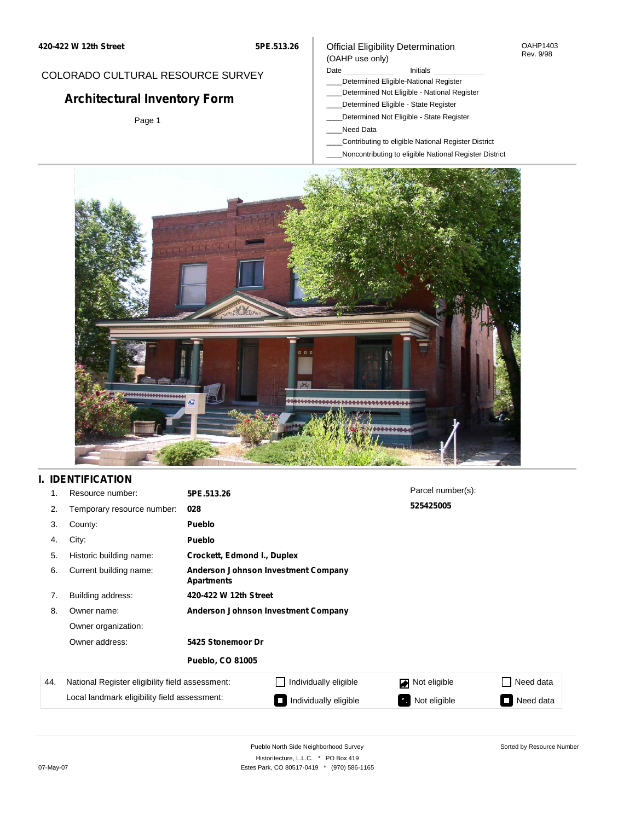**5PE.513.26**

#### Official Eligibility Determination OAHP1403 Rev. 9/98

## COLORADO CULTURAL RESOURCE SURVEY

# **Architectural Inventory Form**

Page 1

### Date **Initials** Initials

- \_\_\_\_Determined Eligible-National Register
- \_\_\_\_Determined Not Eligible National Register
- \_\_\_\_Determined Eligible State Register
- \_\_\_\_Determined Not Eligible State Register
- \_\_\_\_Need Data

(OAHP use only)

- \_\_\_\_Contributing to eligible National Register District
- \_\_\_\_Noncontributing to eligible National Register District



## **I. IDENTIFICATION**

| 1.  | Resource number:                                                                                | 5PE.513.26                                               |                       | Parcel number(s): |           |  |  |  |
|-----|-------------------------------------------------------------------------------------------------|----------------------------------------------------------|-----------------------|-------------------|-----------|--|--|--|
| 2.  | Temporary resource number:                                                                      | 028                                                      |                       | 525425005         |           |  |  |  |
| 3.  | County:                                                                                         | <b>Pueblo</b>                                            |                       |                   |           |  |  |  |
| 4.  | City:                                                                                           | <b>Pueblo</b>                                            |                       |                   |           |  |  |  |
| 5.  | Historic building name:                                                                         | Crockett, Edmond I., Duplex                              |                       |                   |           |  |  |  |
| 6.  | Current building name:                                                                          | Anderson Johnson Investment Company<br><b>Apartments</b> |                       |                   |           |  |  |  |
| 7.  | Building address:                                                                               | 420-422 W 12th Street                                    |                       |                   |           |  |  |  |
| 8.  | Owner name:                                                                                     | Anderson Johnson Investment Company                      |                       |                   |           |  |  |  |
|     | Owner organization:<br>Owner address:<br>5425 Stonemoor Dr                                      |                                                          |                       |                   |           |  |  |  |
|     |                                                                                                 |                                                          |                       |                   |           |  |  |  |
|     |                                                                                                 | <b>Pueblo, CO 81005</b>                                  |                       |                   |           |  |  |  |
| 44. | National Register eligibility field assessment:<br>Local landmark eligibility field assessment: |                                                          | Individually eligible | Not eligible      | Need data |  |  |  |
|     |                                                                                                 |                                                          | Individually eligible | Not eligible      | Need data |  |  |  |

Sorted by Resource Number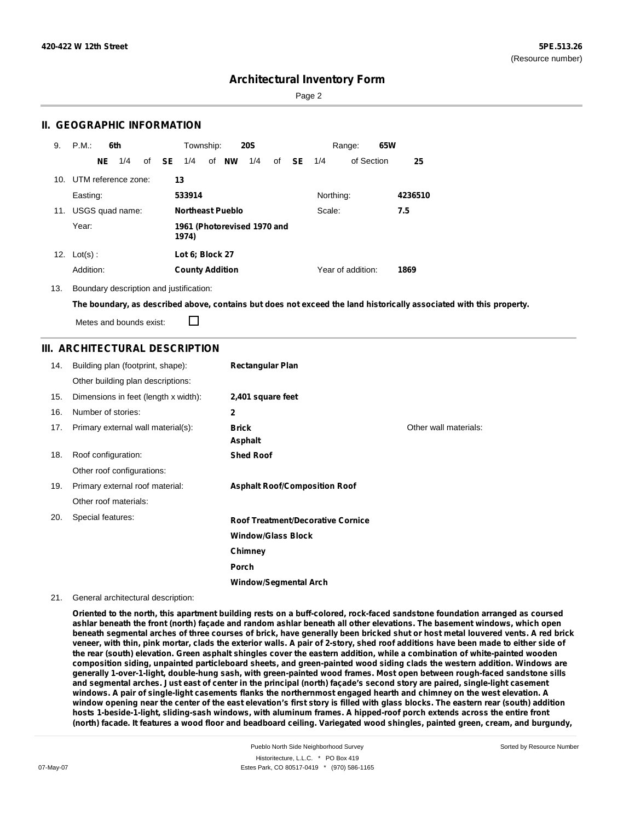Sorted by Resource Number

## **Architectural Inventory Form**

Page 2

## **II. GEOGRAPHIC INFORMATION**

| 9.  | P.M.                    |     | 6th             |              | Township:              |                             | <b>20S</b> |    |           |           | Range:            | 65W |         |
|-----|-------------------------|-----|-----------------|--------------|------------------------|-----------------------------|------------|----|-----------|-----------|-------------------|-----|---------|
|     |                         | NE. | 1/4             | of <b>SE</b> | 1/4                    | of <b>NW</b>                | 1/4        | of | <b>SE</b> | 1/4       | of Section        |     | 25      |
|     | 10. UTM reference zone: |     |                 |              | 13                     |                             |            |    |           |           |                   |     |         |
|     | Easting:                |     |                 |              | 533914                 |                             |            |    |           | Northing: |                   |     | 4236510 |
| 11. |                         |     | USGS quad name: |              |                        | <b>Northeast Pueblo</b>     |            |    |           | Scale:    |                   |     | 7.5     |
|     | Year:                   |     |                 |              | 1974)                  | 1961 (Photorevised 1970 and |            |    |           |           |                   |     |         |
| 12. | $Lot(s)$ :              |     |                 |              | Lot 6; Block 27        |                             |            |    |           |           |                   |     |         |
|     | Addition:               |     |                 |              | <b>County Addition</b> |                             |            |    |           |           | Year of addition: |     | 1869    |

13. Boundary description and justification:

The boundary, as described above, contains but does not exceed the land historically associated with this property.

Metes and bounds exist:

П

### **III. ARCHITECTURAL DESCRIPTION**

| 14. | Building plan (footprint, shape):    | <b>Rectangular Plan</b>                  |                       |
|-----|--------------------------------------|------------------------------------------|-----------------------|
|     | Other building plan descriptions:    |                                          |                       |
| 15. | Dimensions in feet (length x width): | 2,401 square feet                        |                       |
| 16. | Number of stories:                   | $\mathbf{2}$                             |                       |
| 17. | Primary external wall material(s):   | <b>Brick</b><br>Asphalt                  | Other wall materials: |
| 18. | Roof configuration:                  | <b>Shed Roof</b>                         |                       |
|     | Other roof configurations:           |                                          |                       |
| 19. | Primary external roof material:      | <b>Asphalt Roof/Composition Roof</b>     |                       |
|     | Other roof materials:                |                                          |                       |
| 20. | Special features:                    | <b>Roof Treatment/Decorative Cornice</b> |                       |
|     |                                      | <b>Window/Glass Block</b>                |                       |
|     |                                      | Chimney                                  |                       |
|     |                                      | Porch                                    |                       |
|     |                                      | <b>Window/Segmental Arch</b>             |                       |

#### 21. General architectural description:

Oriented to the north, this apartment building rests on a buff-colored, rock-faced sandstone foundation arranged as coursed ashlar beneath the front (north) façade and random ashlar beneath all other elevations. The basement windows, which open beneath segmental arches of three courses of brick, have generally been bricked shut or host metal louvered vents. A red brick veneer, with thin, pink mortar, clads the exterior walls. A pair of 2-story, shed roof additions have been made to either side of the rear (south) elevation. Green asphalt shingles cover the eastern addition, while a combination of white-painted wooden composition siding, unpainted particleboard sheets, and green-painted wood siding clads the western addition. Windows are **generally 1-over-1-light, double-hung sash, with green-painted wood frames. Most open between rough-faced sandstone sills** and segmental arches. Just east of center in the principal (north) façade's second story are paired, single-light casement windows. A pair of single-light casements flanks the northernmost engaged hearth and chimney on the west elevation. A window opening near the center of the east elevation's first story is filled with glass blocks. The eastern rear (south) addition **hosts 1-beside-1-light, sliding-sash windows, with aluminum frames. A hipped-roof porch extends across the entire front** (north) facade. It features a wood floor and beadboard ceiling. Variegated wood shingles, painted green, cream, and burgundy,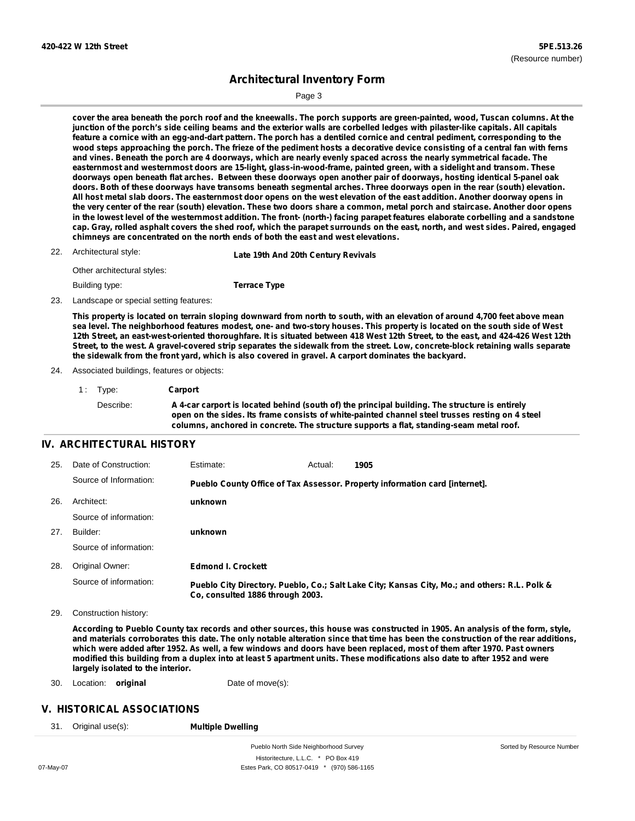Sorted by Resource Number

## **Architectural Inventory Form**

Page 3

cover the area beneath the porch roof and the kneewalls. The porch supports are green-painted, wood, Tuscan columns. At the junction of the porch's side ceiling beams and the exterior walls are corbelled ledges with pilaster-like capitals. All capitals feature a cornice with an egg-and-dart pattern. The porch has a dentiled cornice and central pediment, corresponding to the wood steps approaching the porch. The frieze of the pediment hosts a decorative device consisting of a central fan with ferns and vines. Beneath the porch are 4 doorways, which are nearly evenly spaced across the nearly symmetrical facade. The **easternmost and westernmost doors are 15-light, glass-in-wood-frame, painted green, with a sidelight and transom. These** doorways open beneath flat arches. Between these doorways open another pair of doorways, hosting identical 5-panel oak doors. Both of these doorways have transoms beneath segmental arches. Three doorways open in the rear (south) elevation. All host metal slab doors. The easternmost door opens on the west elevation of the east addition. Another doorway opens in the very center of the rear (south) elevation. These two doors share a common, metal porch and staircase. Another door opens in the lowest level of the westernmost addition. The front- (north-) facing parapet features elaborate corbelling and a sandstone cap. Gray, rolled asphalt covers the shed roof, which the parapet surrounds on the east, north, and west sides. Paired, engaged **chimneys are concentrated on the north ends of both the east and west elevations.**

| 22. Architectural style:    | Late 19th And 20th Century Revivals |
|-----------------------------|-------------------------------------|
| Other architectural styles: |                                     |
| Building type:              | <b>Terrace Type</b>                 |

23. Landscape or special setting features:

This property is located on terrain sloping downward from north to south, with an elevation of around 4,700 feet above mean sea level. The neighborhood features modest, one- and two-story houses. This property is located on the south side of West 12th Street, an east-west-oriented thoroughfare. It is situated between 418 West 12th Street, to the east, and 424-426 West 12th Street, to the west. A gravel-covered strip separates the sidewalk from the street. Low, concrete-block retaining walls separate **the sidewalk from the front yard, which is also covered in gravel. A carport dominates the backyard.**

#### 24. Associated buildings, features or objects:

| 1: Type:  | Carport                                                                                                                                                                                                                                                                                      |
|-----------|----------------------------------------------------------------------------------------------------------------------------------------------------------------------------------------------------------------------------------------------------------------------------------------------|
| Describe: | A 4-car carport is located behind (south of) the principal building. The structure is entirely<br>open on the sides, Its frame consists of white-painted channel steel trusses resting on 4 steel<br>columns, anchored in concrete. The structure supports a flat, standing-seam metal roof. |

## **IV. ARCHITECTURAL HISTORY**

| 25. | Date of Construction:  | Estimate:                        | Actual: | 1905                                                                                          |
|-----|------------------------|----------------------------------|---------|-----------------------------------------------------------------------------------------------|
|     | Source of Information: |                                  |         | Pueblo County Office of Tax Assessor. Property information card [internet].                   |
| 26. | Architect:             | unknown                          |         |                                                                                               |
|     | Source of information: |                                  |         |                                                                                               |
| 27. | Builder:               | unknown                          |         |                                                                                               |
|     | Source of information: |                                  |         |                                                                                               |
| 28. | Original Owner:        | <b>Edmond I. Crockett</b>        |         |                                                                                               |
|     | Source of information: | Co. consulted 1886 through 2003. |         | Pueblo City Directory. Pueblo, Co.; Salt Lake City; Kansas City, Mo.; and others: R.L. Polk & |

29. Construction history:

According to Pueblo County tax records and other sources, this house was constructed in 1905. An analysis of the form, style, and materials corroborates this date. The only notable alteration since that time has been the construction of the rear additions, which were added after 1952. As well, a few windows and doors have been replaced, most of them after 1970. Past owners modified this building from a duplex into at least 5 apartment units. These modifications also date to after 1952 and were **largely isolated to the interior.**

30. Location: **original** Date of move(s):

## **V. HISTORICAL ASSOCIATIONS**

31. Original use(s): **Multiple Dwelling**

Pueblo North Side Neighborhood Survey Historitecture, L.L.C. \* PO Box 419 07-May-07 Estes Park, CO 80517-0419 \* (970) 586-1165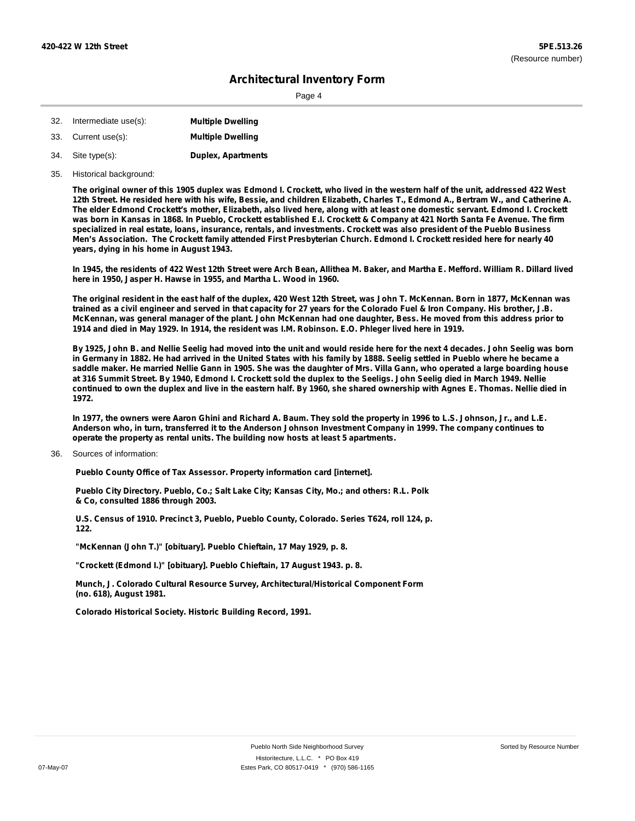Page 4

| 32. | Intermediate use(s): | <b>Multiple Dwelling</b>  |
|-----|----------------------|---------------------------|
| 33. | Current use(s):      | <b>Multiple Dwelling</b>  |
|     | 34. Site type(s):    | <b>Duplex, Apartments</b> |

35. Historical background:

The original owner of this 1905 duplex was Edmond I. Crockett, who lived in the western half of the unit, addressed 422 West 12th Street. He resided here with his wife, Bessie, and children Elizabeth, Charles T., Edmond A., Bertram W., and Catherine A. The elder Edmond Crockett's mother, Elizabeth, also lived here, along with at least one domestic servant. Edmond I. Crockett was born in Kansas in 1868. In Pueblo, Crockett established E.I. Crockett & Company at 421 North Santa Fe Avenue. The firm specialized in real estate, loans, insurance, rentals, and investments. Crockett was also president of the Pueblo Business Men's Association. The Crockett family attended First Presbyterian Church. Edmond I. Crockett resided here for nearly 40 **years, dying in his home in August 1943.**

In 1945, the residents of 422 West 12th Street were Arch Bean, Allithea M. Baker, and Martha E. Mefford. William R. Dillard lived **here in 1950, Jasper H. Hawse in 1955, and Martha L. Wood in 1960.**

The original resident in the east half of the duplex. 420 West 12th Street, was John T. McKennan, Born in 1877, McKennan was trained as a civil engineer and served in that capacity for 27 years for the Colorado Fuel & Iron Company. His brother, J.B. McKennan, was general manager of the plant. John McKennan had one daughter, Bess. He moved from this address prior to 1914 and died in May 1929. In 1914, the resident was I.M. Robinson. E.O. Phleger lived here in 1919.

By 1925, John B. and Nellie Seelig had moved into the unit and would reside here for the next 4 decades. John Seelig was born in Germany in 1882. He had arrived in the United States with his family by 1888. Seelig settled in Pueblo where he became a saddle maker. He married Nellie Gann in 1905. She was the daughter of Mrs. Villa Gann, who operated a large boarding house at 316 Summit Street. By 1940, Edmond I. Crockett sold the duplex to the Seeligs. John Seelig died in March 1949. Nellie continued to own the duplex and live in the eastern half. By 1960, she shared ownership with Agnes E. Thomas. Nellie died in **1972.**

In 1977, the owners were Aaron Ghini and Richard A. Baum. They sold the property in 1996 to L.S. Johnson, Jr., and L.E. Anderson who, in turn, transferred it to the Anderson Johnson Investment Company in 1999. The company continues to **operate the property as rental units. The building now hosts at least 5 apartments.**

Sources of information: 36.

**Pueblo County Office of Tax Assessor. Property information card [internet].**

**Pueblo City Directory. Pueblo, Co.; Salt Lake City; Kansas City, Mo.; and others: R.L. Polk & Co, consulted 1886 through 2003.**

**U.S. Census of 1910. Precinct 3, Pueblo, Pueblo County, Colorado. Series T624, roll 124, p. 122.**

**"McKennan (John T.)" [obituary]. Pueblo Chieftain, 17 May 1929, p. 8.**

**"Crockett (Edmond I.)" [obituary]. Pueblo Chieftain, 17 August 1943. p. 8.**

**Munch, J. Colorado Cultural Resource Survey, Architectural/Historical Component Form (no. 618), August 1981.**

**Colorado Historical Society. Historic Building Record, 1991.**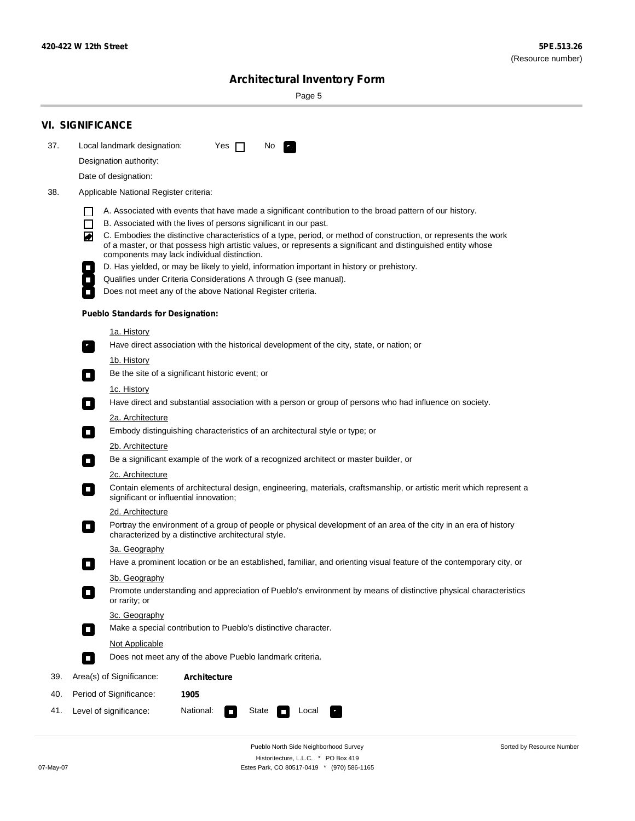۰

Sorted by Resource Number

# **Architectural Inventory Form**

Page 5

|                  | <b>VI. SIGNIFICANCE</b>                                                                                                                   |                                                                                                                                                                                                                                   |  |  |  |  |  |  |
|------------------|-------------------------------------------------------------------------------------------------------------------------------------------|-----------------------------------------------------------------------------------------------------------------------------------------------------------------------------------------------------------------------------------|--|--|--|--|--|--|
| 37.              | No.<br>$\mathcal{F}_\alpha$                                                                                                               |                                                                                                                                                                                                                                   |  |  |  |  |  |  |
|                  |                                                                                                                                           | Local landmark designation:<br>Yes $\Box$<br>Designation authority:                                                                                                                                                               |  |  |  |  |  |  |
|                  | Date of designation:                                                                                                                      |                                                                                                                                                                                                                                   |  |  |  |  |  |  |
| 38.              | Applicable National Register criteria:                                                                                                    |                                                                                                                                                                                                                                   |  |  |  |  |  |  |
|                  |                                                                                                                                           | A. Associated with events that have made a significant contribution to the broad pattern of our history.                                                                                                                          |  |  |  |  |  |  |
|                  | H<br>B. Associated with the lives of persons significant in our past.<br>$\mathbf{I}$                                                     |                                                                                                                                                                                                                                   |  |  |  |  |  |  |
|                  | $\blacktriangleright$                                                                                                                     | C. Embodies the distinctive characteristics of a type, period, or method of construction, or represents the work<br>of a master, or that possess high artistic values, or represents a significant and distinguished entity whose |  |  |  |  |  |  |
|                  | components may lack individual distinction.<br>D. Has yielded, or may be likely to yield, information important in history or prehistory. |                                                                                                                                                                                                                                   |  |  |  |  |  |  |
|                  | Qualifies under Criteria Considerations A through G (see manual).<br>$\overline{\phantom{a}}$                                             |                                                                                                                                                                                                                                   |  |  |  |  |  |  |
|                  | Does not meet any of the above National Register criteria.                                                                                |                                                                                                                                                                                                                                   |  |  |  |  |  |  |
|                  | <b>Pueblo Standards for Designation:</b>                                                                                                  |                                                                                                                                                                                                                                   |  |  |  |  |  |  |
|                  | 1a. History                                                                                                                               |                                                                                                                                                                                                                                   |  |  |  |  |  |  |
|                  | $\overline{\phantom{a}}$ .                                                                                                                | Have direct association with the historical development of the city, state, or nation; or                                                                                                                                         |  |  |  |  |  |  |
|                  | <u>1b. History</u><br>Be the site of a significant historic event; or<br>$\Box$                                                           |                                                                                                                                                                                                                                   |  |  |  |  |  |  |
|                  | 1c. History<br>$\Box$                                                                                                                     | Have direct and substantial association with a person or group of persons who had influence on society.                                                                                                                           |  |  |  |  |  |  |
|                  | 2a. Architecture                                                                                                                          |                                                                                                                                                                                                                                   |  |  |  |  |  |  |
|                  | Embody distinguishing characteristics of an architectural style or type; or<br>$\Box$                                                     |                                                                                                                                                                                                                                   |  |  |  |  |  |  |
|                  | 2b. Architecture                                                                                                                          |                                                                                                                                                                                                                                   |  |  |  |  |  |  |
|                  | Be a significant example of the work of a recognized architect or master builder, or<br>$\overline{\phantom{a}}$                          |                                                                                                                                                                                                                                   |  |  |  |  |  |  |
| 2c. Architecture |                                                                                                                                           |                                                                                                                                                                                                                                   |  |  |  |  |  |  |
|                  | Contain elements of architectural design, engineering, materials, craftsmanship, or artistic merit which represent a                      |                                                                                                                                                                                                                                   |  |  |  |  |  |  |
|                  | 2d. Architecture                                                                                                                          |                                                                                                                                                                                                                                   |  |  |  |  |  |  |
|                  | $\blacksquare$<br>characterized by a distinctive architectural style.                                                                     | Portray the environment of a group of people or physical development of an area of the city in an era of history                                                                                                                  |  |  |  |  |  |  |
|                  | 3a. Geography                                                                                                                             |                                                                                                                                                                                                                                   |  |  |  |  |  |  |
|                  |                                                                                                                                           | Have a prominent location or be an established, familiar, and orienting visual feature of the contemporary city, or                                                                                                               |  |  |  |  |  |  |
|                  | 3b. Geography<br>or rarity; or                                                                                                            | Promote understanding and appreciation of Pueblo's environment by means of distinctive physical characteristics                                                                                                                   |  |  |  |  |  |  |
|                  | 3c. Geography<br>Make a special contribution to Pueblo's distinctive character.<br>$\Box$                                                 |                                                                                                                                                                                                                                   |  |  |  |  |  |  |
|                  | Not Applicable                                                                                                                            |                                                                                                                                                                                                                                   |  |  |  |  |  |  |
|                  | Does not meet any of the above Pueblo landmark criteria.<br>$\Box$                                                                        |                                                                                                                                                                                                                                   |  |  |  |  |  |  |
| 39.              | Area(s) of Significance:<br>Architecture                                                                                                  |                                                                                                                                                                                                                                   |  |  |  |  |  |  |
| 40.              | Period of Significance:<br>1905                                                                                                           |                                                                                                                                                                                                                                   |  |  |  |  |  |  |
| 41.              | National:<br>Level of significance:<br>State<br><b>CONTRACTOR</b>                                                                         | Local                                                                                                                                                                                                                             |  |  |  |  |  |  |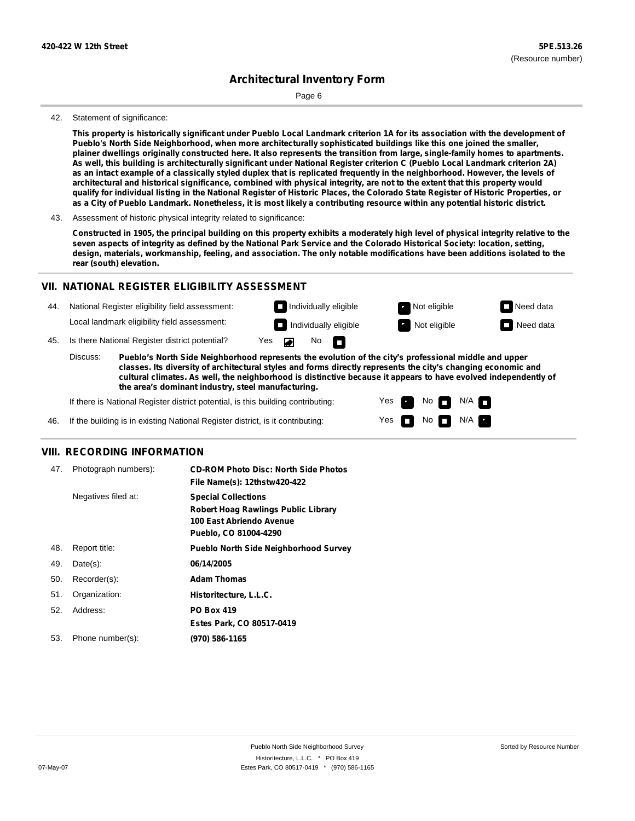Page 6

#### 42. Statement of significance:

This property is historically significant under Pueblo Local Landmark criterion 1A for its association with the development of **Pueblo's North Side Neighborhood, when more architecturally sophisticated buildings like this one joined the smaller,** plainer dwellings originally constructed here. It also represents the transition from large, single-family homes to apartments. As well, this building is architecturally significant under National Register criterion C (Pueblo Local Landmark criterion 2A) as an intact example of a classically styled duplex that is replicated frequently in the neighborhood. However, the levels of architectural and historical significance, combined with physical integrity, are not to the extent that this property would qualify for individual listing in the National Register of Historic Places, the Colorado State Register of Historic Properties, or as a City of Pueblo Landmark. Nonetheless, it is most likely a contributing resource within any potential historic district.

Constructed in 1905, the principal building on this property exhibits a moderately high level of physical integrity relative to the seven aspects of integrity as defined by the National Park Service and the Colorado Historical Society: location, setting, design, materials, workmanship, feeling, and association. The only notable modifications have been additions isolated to the **rear (south) elevation.**

#### **VII. NATIONAL REGISTER ELIGIBILITY ASSESSMENT**

National Register eligibility field assessment: 44. Local landmark eligibility field assessment:

45. Is there National Register district potential? Yes

**Pueblo's North Side Neighborhood represents the evolution of the city's professional middle and upper classes. Its diversity of architectural styles and forms directly represents the city's changing economic and cultural climates. As well, the neighborhood is distinctive because it appears to have evolved independently of the area's dominant industry, steel manufacturing.** Discuss:

 $\blacksquare$ 

No  $\Box$ 

Yes Yes No

**Individually eligible Not eligible** Not eligible **Need data Individually eligible Not eligible** Not eligible **Need data** 

 $No$   $N/A$ 

N/A IT

If there is National Register district potential, is this building contributing:



#### **VIII. RECORDING INFORMATION**

| 47. | Photograph numbers): | <b>CD-ROM Photo Disc: North Side Photos</b><br>File Name(s): 12thstw420-422                                                   |
|-----|----------------------|-------------------------------------------------------------------------------------------------------------------------------|
|     | Negatives filed at:  | <b>Special Collections</b><br><b>Robert Hoag Rawlings Public Library</b><br>100 East Abriendo Avenue<br>Pueblo, CO 81004-4290 |
| 48. | Report title:        | <b>Pueblo North Side Neighborhood Survey</b>                                                                                  |
| 49. | $Date(s)$ :          | 06/14/2005                                                                                                                    |
| 50. | Recorder(s):         | <b>Adam Thomas</b>                                                                                                            |
| 51. | Organization:        | Historitecture, L.L.C.                                                                                                        |
| 52. | Address:             | <b>PO Box 419</b>                                                                                                             |
|     |                      | Estes Park, CO 80517-0419                                                                                                     |
| 53. | Phone number(s):     | (970) 586-1165                                                                                                                |

<sup>43.</sup> Assessment of historic physical integrity related to significance: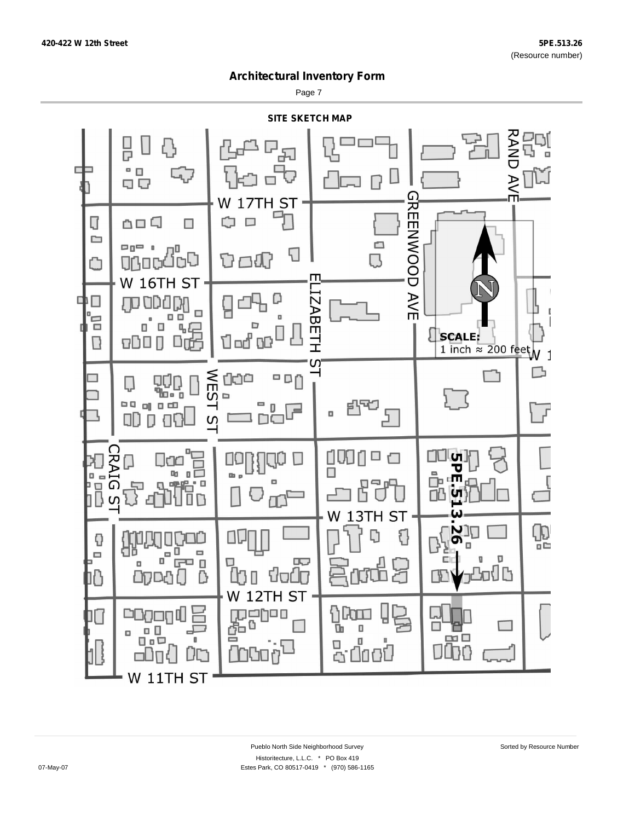Page 7